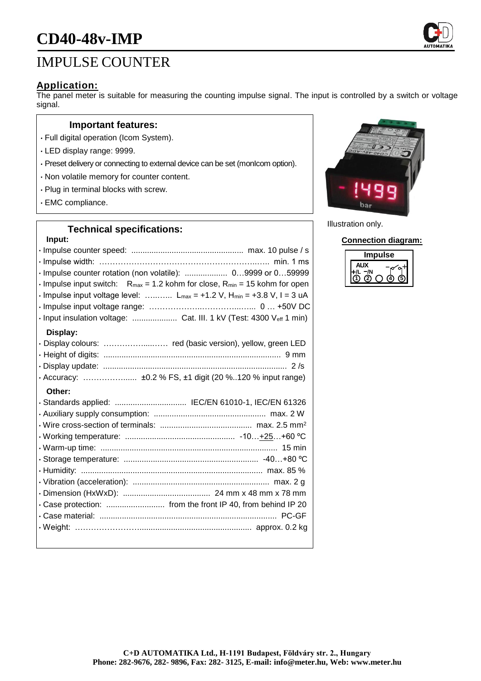# **CD40-48v-IMP**

## IMPULSE COUNTER

#### **Application:**

The panel meter is suitable for measuring the counting impulse signal. The input is controlled by a switch or voltage signal.

#### **Important features:**

- Full digital operation (Icom System).
- LED display range: 9999.
- Preset delivery or connecting to external device can be set (monIcom option).
- Non volatile memory for counter content.
- Plug in terminal blocks with screw.
- EMC compliance.

#### **Technical specifications:**

### **Input:** • Impulse counter speed: .................................................. max. 10 pulse / s • Impulse width: …………………………………………………..….. min. 1 ms • Impulse counter rotation (non volatile): ................... 0…9999 or 0…59999  $\cdot$  Impulse input switch: R<sub>max</sub> = 1.2 kohm for close, R<sub>min</sub> = 15 kohm for open  $\cdot$  Impulse input voltage level: ........... L<sub>max</sub> = +1.2 V, H<sub>min</sub> = +3.8 V, I = 3 uA • Impulse input voltage range: ………………..…………...…... 0 … +50V DC • Input insulation voltage: .................... Cat. III. 1 kV (Test: 4300 Veff 1 min) **Display:** • Display colours: ……………....…… red (basic version), yellow, green LED • Height of digits: ............................................................................... 9 mm • Display update: .................................................................................. 2 /s • Accuracy: ……………...... ±0.2 % FS, ±1 digit (20 %..120 % input range) **Other:** • Standards applied: ................................ IEC/EN 61010-1, IEC/EN 61326 • Auxiliary supply consumption: .................................................. max. 2 W • Wire cross-section of terminals: ......................................... max. 2.5 mm<sup>2</sup> • Working temperature: ................................................. -10…+25…+60 ºC • Warm-up time: ............................................................................... 15 min • Storage temperature: ............................................................ -40…+80 ºC • Humidity: ................................................................................. max. 85 % • Vibration (acceleration): ............................................................. max. 2 g • Dimension (HxWxD): ....................................... 24 mm x 48 mm x 78 mm • Case protection: .......................... from the front IP 40, from behind IP 20 • Case material: ............................................................................... PC-GF • Weight: …………………….................................................. approx. 0.2 kg



Illustration only.

**Connection diagram:**